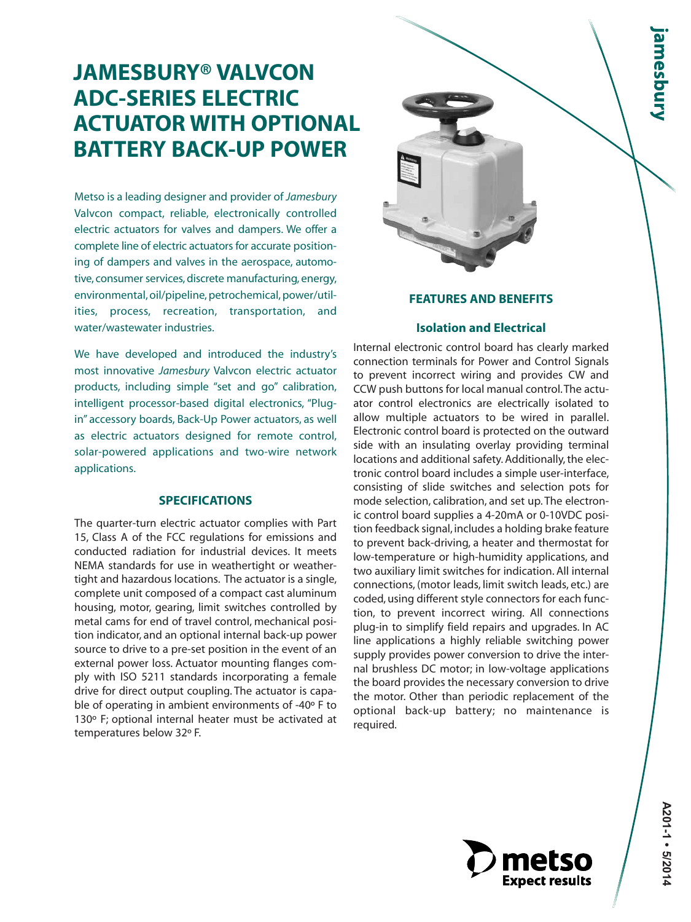# **JAMESBURY® VALVCON ADC-SERIES ELECTRIC ACTUATOR WITH OPTIONAL BATTERY BACK-UP POWER**

Metso is a leading designer and provider of *Jamesbury* Valvcon compact, reliable, electronically controlled electric actuators for valves and dampers. We offer a complete line of electric actuators for accurate positioning of dampers and valves in the aerospace, automotive, consumer services, discrete manufacturing, energy, environmental, oil/pipeline, petrochemical, power/utilities, process, recreation, transportation, and water/wastewater industries.

We have developed and introduced the industry's most innovative *Jamesbury* Valvcon electric actuator products, including simple "set and go" calibration, intelligent processor-based digital electronics, "Plugin" accessory boards, Back-Up Power actuators, as well as electric actuators designed for remote control, solar-powered applications and two-wire network applications.

# **SPECIFICATIONS**

The quarter-turn electric actuator complies with Part 15, Class A of the FCC regulations for emissions and conducted radiation for industrial devices. It meets NEMA standards for use in weathertight or weathertight and hazardous locations. The actuator is a single, complete unit composed of a compact cast aluminum housing, motor, gearing, limit switches controlled by metal cams for end of travel control, mechanical position indicator, and an optional internal back-up power source to drive to a pre-set position in the event of an external power loss. Actuator mounting flanges comply with ISO 5211 standards incorporating a female drive for direct output coupling. The actuator is capable of operating in ambient environments of -40º F to 130º F; optional internal heater must be activated at temperatures below 32º F.



## **FEATURES AND BENEFITS**

## **Isolation and Electrical**

Internal electronic control board has clearly marked connection terminals for Power and Control Signals to prevent incorrect wiring and provides CW and CCW push buttons for local manual control.The actuator control electronics are electrically isolated to allow multiple actuators to be wired in parallel. Electronic control board is protected on the outward side with an insulating overlay providing terminal locations and additional safety. Additionally, the electronic control board includes a simple user-interface, consisting of slide switches and selection pots for mode selection, calibration, and set up. The electronic control board supplies a 4-20mA or 0-10VDC position feedback signal, includes a holding brake feature to prevent back-driving, a heater and thermostat for low-temperature or high-humidity applications, and two auxiliary limit switches for indication. All internal connections, (motor leads, limit switch leads, etc.) are coded, using different style connectors for each function, to prevent incorrect wiring. All connections plug-in to simplify field repairs and upgrades. In AC line applications a highly reliable switching power supply provides power conversion to drive the internal brushless DC motor; in low-voltage applications the board provides the necessary conversion to drive the motor. Other than periodic replacement of the optional back-up battery; no maintenance is required.

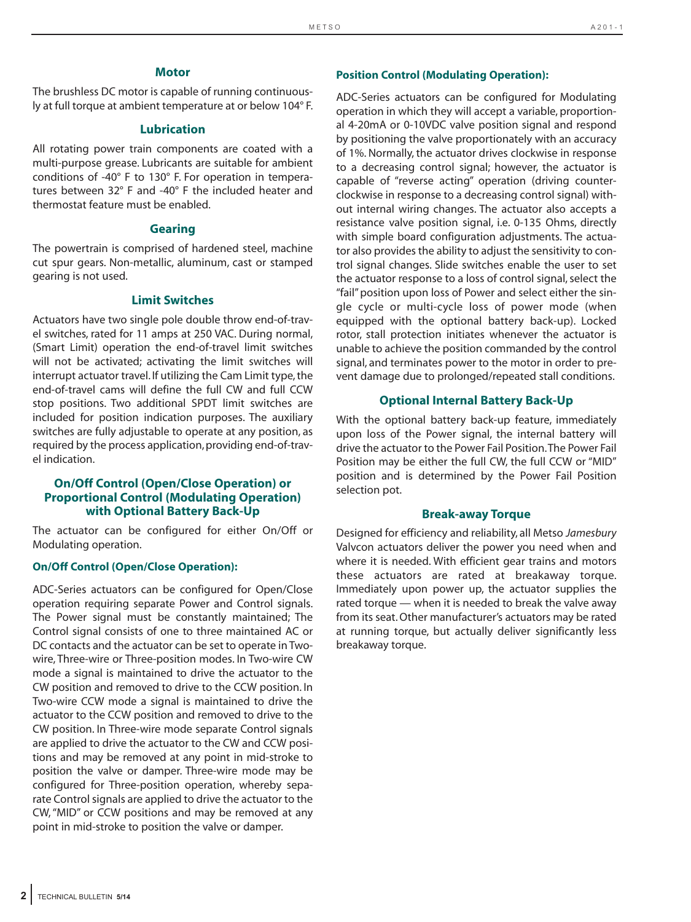#### **Motor**

The brushless DC motor is capable of running continuously at full torque at ambient temperature at or below 104° F.

#### **Lubrication**

All rotating power train components are coated with a multi-purpose grease. Lubricants are suitable for ambient conditions of -40° F to 130° F. For operation in temperatures between 32° F and -40° F the included heater and thermostat feature must be enabled.

#### **Gearing**

The powertrain is comprised of hardened steel, machine cut spur gears. Non-metallic, aluminum, cast or stamped gearing is not used.

#### **Limit Switches**

Actuators have two single pole double throw end-of-travel switches, rated for 11 amps at 250 VAC. During normal, (Smart Limit) operation the end-of-travel limit switches will not be activated; activating the limit switches will interrupt actuator travel. If utilizing the Cam Limit type, the end-of-travel cams will define the full CW and full CCW stop positions. Two additional SPDT limit switches are included for position indication purposes. The auxiliary switches are fully adjustable to operate at any position, as required by the process application, providing end-of-travel indication.

### **On/Off Control (Open/Close Operation) or Proportional Control (Modulating Operation) with Optional Battery Back-Up**

The actuator can be configured for either On/Off or Modulating operation.

#### **On/Off Control (Open/Close Operation):**

ADC-Series actuators can be configured for Open/Close operation requiring separate Power and Control signals. The Power signal must be constantly maintained; The Control signal consists of one to three maintained AC or DC contacts and the actuator can be set to operate in Twowire, Three-wire or Three-position modes. In Two-wire CW mode a signal is maintained to drive the actuator to the CW position and removed to drive to the CCW position. In Two-wire CCW mode a signal is maintained to drive the actuator to the CCW position and removed to drive to the CW position. In Three-wire mode separate Control signals are applied to drive the actuator to the CW and CCW positions and may be removed at any point in mid-stroke to position the valve or damper. Three-wire mode may be configured for Three-position operation, whereby separate Control signals are applied to drive the actuator to the CW, "MID" or CCW positions and may be removed at any point in mid-stroke to position the valve or damper.

#### **Position Control (Modulating Operation):**

ADC-Series actuators can be configured for Modulating operation in which they will accept a variable, proportional 4-20mA or 0-10VDC valve position signal and respond by positioning the valve proportionately with an accuracy of 1%. Normally, the actuator drives clockwise in response to a decreasing control signal; however, the actuator is capable of "reverse acting" operation (driving counterclockwise in response to a decreasing control signal) without internal wiring changes. The actuator also accepts a resistance valve position signal, i.e. 0-135 Ohms, directly with simple board configuration adjustments. The actuator also provides the ability to adjust the sensitivity to control signal changes. Slide switches enable the user to set the actuator response to a loss of control signal, select the "fail" position upon loss of Power and select either the single cycle or multi-cycle loss of power mode (when equipped with the optional battery back-up). Locked rotor, stall protection initiates whenever the actuator is unable to achieve the position commanded by the control signal, and terminates power to the motor in order to prevent damage due to prolonged/repeated stall conditions.

#### **Optional Internal Battery Back-Up**

With the optional battery back-up feature, immediately upon loss of the Power signal, the internal battery will drive the actuator to the Power Fail Position.The Power Fail Position may be either the full CW, the full CCW or "MID" position and is determined by the Power Fail Position selection pot.

#### **Break-away Torque**

Designed for efficiency and reliability, all Metso *Jamesbury* Valvcon actuators deliver the power you need when and where it is needed. With efficient gear trains and motors these actuators are rated at breakaway torque. Immediately upon power up, the actuator supplies the rated torque — when it is needed to break the valve away from its seat. Other manufacturer's actuators may be rated at running torque, but actually deliver significantly less breakaway torque.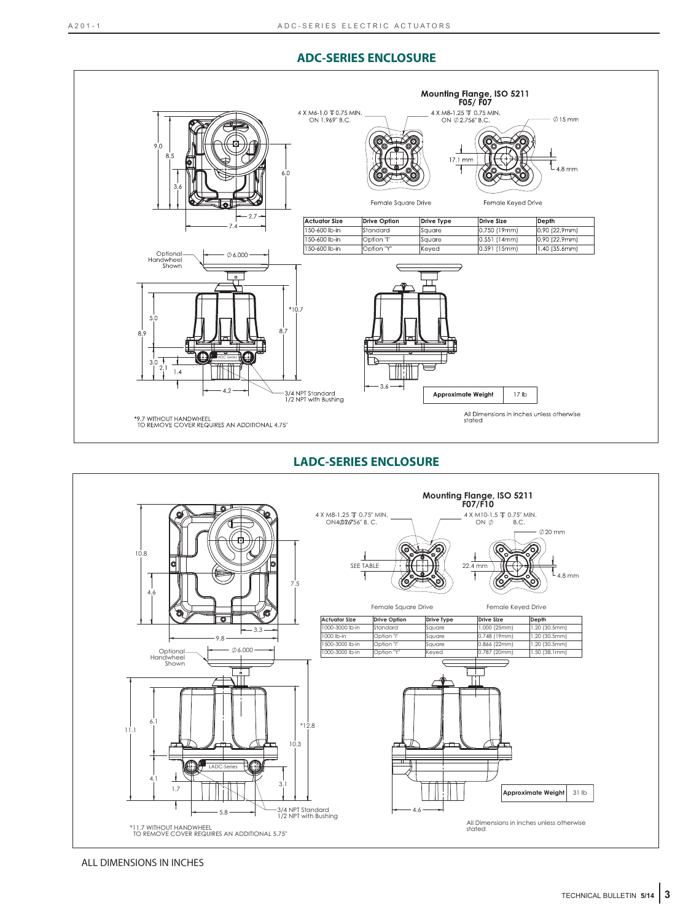# **ADC-SERIES ENCLOSURE**



**LADC-SERIES ENCLOSURE**



ALL DIMENSIONS IN INCHES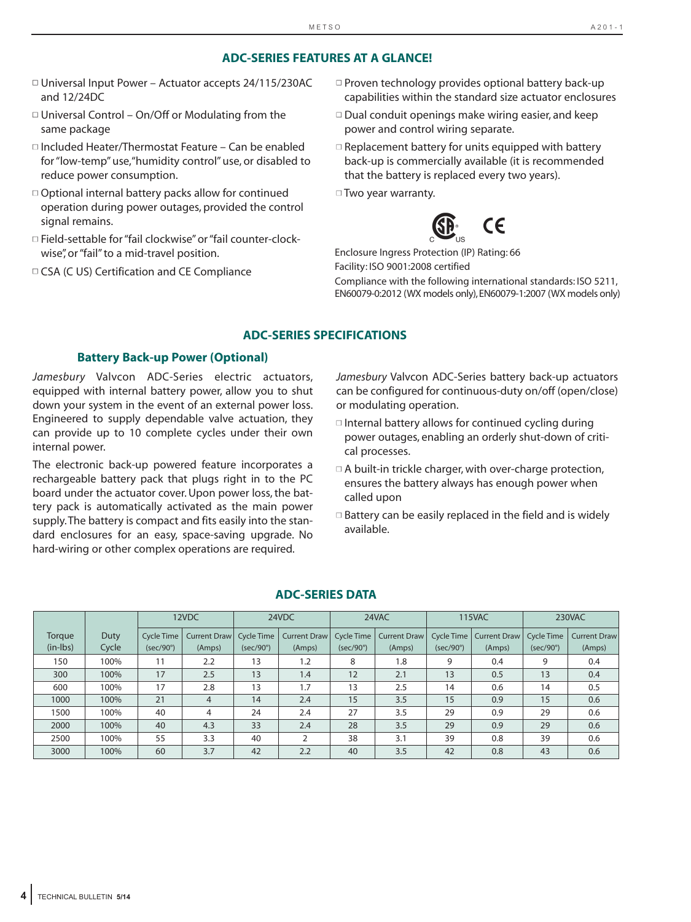# **ADC-SERIES FEATURES AT A GLANCE!**

- Universal Input Power Actuator accepts 24/115/230AC and 12/24DC
- □ Universal Control On/Off or Modulating from the same package
- Included Heater/Thermostat Feature Can be enabled for "low-temp" use,"humidity control" use, or disabled to reduce power consumption.
- □ Optional internal battery packs allow for continued operation during power outages, provided the control signal remains.
- □ Field-settable for "fail clockwise" or "fail counter-clockwise", or "fail" to a mid-travel position.
- CSA (C US) Certification and CE Compliance
- Proven technology provides optional battery back-up capabilities within the standard size actuator enclosures
- Dual conduit openings make wiring easier, and keep power and control wiring separate.
- $\Box$  Replacement battery for units equipped with battery back-up is commercially available (it is recommended that the battery is replaced every two years).

□ Two year warranty.



Enclosure Ingress Protection (IP) Rating: 66 Facility: ISO 9001:2008 certified Compliance with the following international standards: ISO 5211,

EN60079-0:2012 (WX models only),EN60079-1:2007 (WX models only)

# **ADC-SERIES SPECIFICATIONS**

# **Battery Back-up Power (Optional)**

*Jamesbury* Valvcon ADC-Series electric actuators, equipped with internal battery power, allow you to shut down your system in the event of an external power loss. Engineered to supply dependable valve actuation, they can provide up to 10 complete cycles under their own internal power.

The electronic back-up powered feature incorporates a rechargeable battery pack that plugs right in to the PC board under the actuator cover. Upon power loss, the battery pack is automatically activated as the main power supply.The battery is compact and fits easily into the standard enclosures for an easy, space-saving upgrade. No hard-wiring or other complex operations are required.

*Jamesbury* Valvcon ADC-Series battery back-up actuators can be configured for continuous-duty on/off (open/close) or modulating operation.

- $\Box$  Internal battery allows for continued cycling during power outages, enabling an orderly shut-down of critical processes.
- $\Box$  A built-in trickle charger, with over-charge protection, ensures the battery always has enough power when called upon
- $\Box$  Battery can be easily replaced in the field and is widely available.

|                      |               |                                  | 12VDC                  |                                       | 24VDC                  |                  | 24VAC                               |                                | <b>115VAC</b>                 |                                | 230VAC                        |
|----------------------|---------------|----------------------------------|------------------------|---------------------------------------|------------------------|------------------|-------------------------------------|--------------------------------|-------------------------------|--------------------------------|-------------------------------|
| Torque<br>$(in-lbs)$ | Duty<br>Cycle | Cycle Time I<br>$(sec/90^\circ)$ | Current Draw<br>(Amps) | <b>Cycle Time</b><br>$(sec/90^\circ)$ | Current Draw<br>(Amps) | $(sec/90^\circ)$ | Cycle Time   Current Draw<br>(Amps) | Cycle Time<br>$(sec/90^\circ)$ | <b>Current Draw</b><br>(Amps) | Cycle Time<br>$(sec/90^\circ)$ | <b>Current Draw</b><br>(Amps) |
| 150                  | 100%          | 11                               | 2.2                    | 13                                    | 1.2                    | 8                | 1.8                                 | 9                              | 0.4                           | 9                              | 0.4                           |
| 300                  | 100%          | 17                               | 2.5                    | 13                                    | 1.4                    | 12               | 2.1                                 | 13                             | 0.5                           | 13                             | 0.4                           |
| 600                  | 100%          | 17                               | 2.8                    | 13                                    | 1.7                    | 13               | 2.5                                 | 14                             | 0.6                           | 14                             | 0.5                           |
| 1000                 | 100%          | 21                               | 4                      | 14                                    | 2.4                    | 15               | 3.5                                 | 15                             | 0.9                           | 15                             | 0.6                           |
| 1500                 | 100%          | 40                               | 4                      | 24                                    | 2.4                    | 27               | 3.5                                 | 29                             | 0.9                           | 29                             | 0.6                           |
| 2000                 | 100%          | 40                               | 4.3                    | 33                                    | 2.4                    | 28               | 3.5                                 | 29                             | 0.9                           | 29                             | 0.6                           |
| 2500                 | 100%          | 55                               | 3.3                    | 40                                    |                        | 38               | 3.1                                 | 39                             | 0.8                           | 39                             | 0.6                           |
| 3000                 | 100%          | 60                               | 3.7                    | 42                                    | 2.2                    | 40               | 3.5                                 | 42                             | 0.8                           | 43                             | 0.6                           |

## **ADC-SERIES DATA**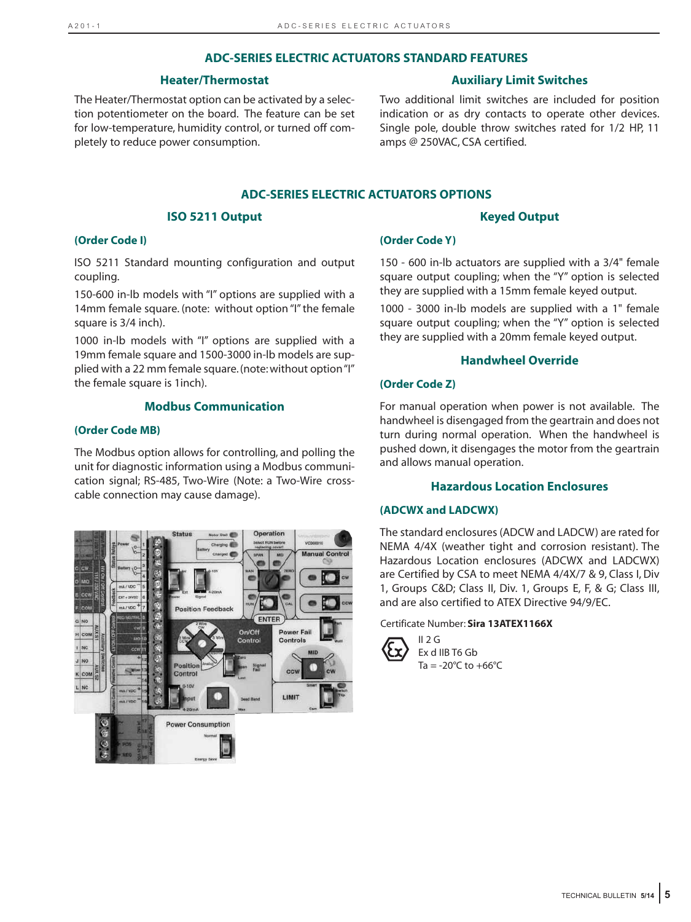#### **ADC-SERIES ELECTRIC ACTUATORS STANDARD FEATURES**

#### **Heater/Thermostat**

### The Heater/Thermostat option can be activated by a selection potentiometer on the board. The feature can be set for low-temperature, humidity control, or turned off completely to reduce power consumption.

# **Auxiliary Limit Switches**

Two additional limit switches are included for position indication or as dry contacts to operate other devices. Single pole, double throw switches rated for 1/2 HP, 11 amps @ 250VAC, CSA certified.

# **ADC-SERIES ELECTRIC ACTUATORS OPTIONS**

#### **ISO 5211 Output**

#### **Keyed Output**

#### **(Order Code I)**

ISO 5211 Standard mounting configuration and output coupling.

150-600 in-lb models with "I" options are supplied with a 14mm female square. (note: without option "I" the female square is 3/4 inch).

1000 in-lb models with "I" options are supplied with a 19mm female square and 1500-3000 in-lb models are supplied with a 22 mm female square. (note: without option "I" the female square is 1inch).

# **Modbus Communication**

#### **(Order Code MB)**

The Modbus option allows for controlling, and polling the unit for diagnostic information using a Modbus communication signal; RS-485, Two-Wire (Note: a Two-Wire crosscable connection may cause damage).



# **(Order Code Y)**

150 - 600 in-lb actuators are supplied with a 3/4" female square output coupling; when the "Y" option is selected they are supplied with a 15mm female keyed output.

1000 - 3000 in-lb models are supplied with a 1" female square output coupling; when the "Y" option is selected they are supplied with a 20mm female keyed output.

# **Handwheel Override**

# **(Order Code Z)**

For manual operation when power is not available. The handwheel is disengaged from the geartrain and does not turn during normal operation. When the handwheel is pushed down, it disengages the motor from the geartrain and allows manual operation.

# **Hazardous Location Enclosures**

#### **(ADCWX and LADCWX)**

The standard enclosures (ADCW and LADCW) are rated for NEMA 4/4X (weather tight and corrosion resistant). The Hazardous Location enclosures (ADCWX and LADCWX) are Certified by CSA to meet NEMA 4/4X/7 & 9, Class I, Div 1, Groups C&D; Class II, Div. 1, Groups E, F, & G; Class III, and are also certified to ATEX Directive 94/9/EC.

#### Certificate Number: **Sira 13ATEX1166X**



 $II$  2 G Ex d IIB T6 Gb  $Ta = -20°C$  to  $+66°C$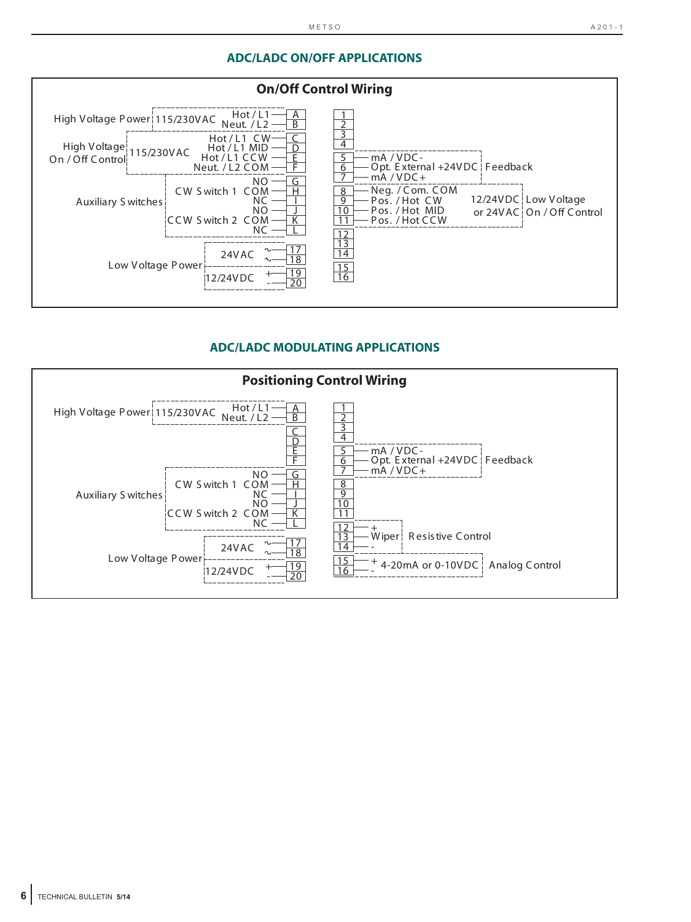# **ADC/LADC ON/OFF APPLICATIONS**



# **ADC/LADC MODULATING APPLICATIONS**

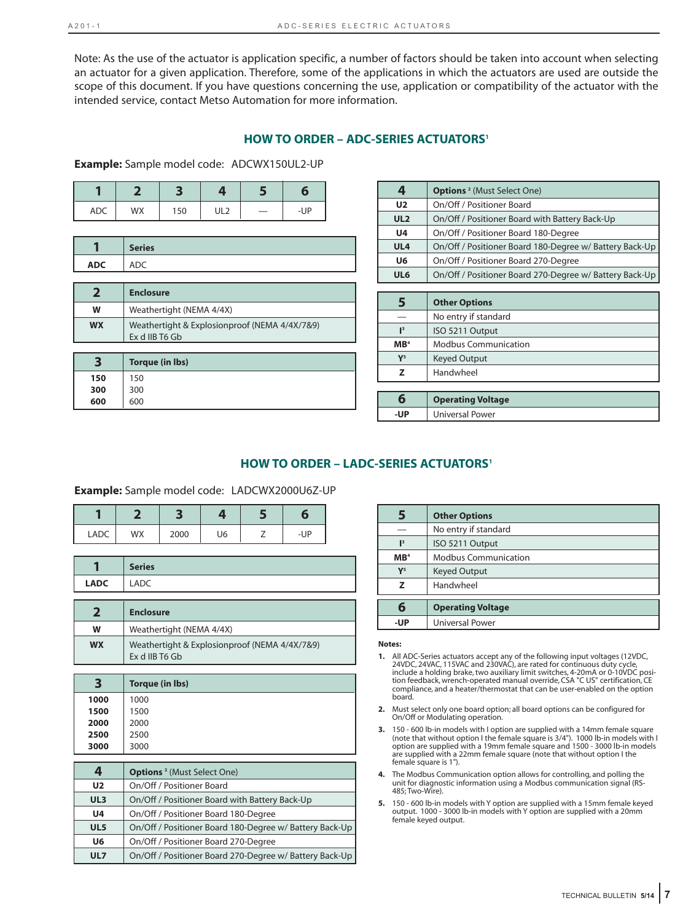Note: As the use of the actuator is application specific, a number of factors should be taken into account when selecting an actuator for a given application. Therefore, some of the applications in which the actuators are used are outside the scope of this document. If you have questions concerning the use, application or compatibility of the actuator with the intended service, contact Metso Automation for more information.

#### **HOW TO ORDER – ADC-SERIES ACTUATORS1**

**Example:** Sample model code: ADCWX150UL2-UP

| <b>ADC</b> | WX | 150 | UL <sub>2</sub> | -- | -UP |
|------------|----|-----|-----------------|----|-----|

|            | <b>Series</b> |
|------------|---------------|
| <b>ADC</b> | ◡             |

|           | <b>Enclosure</b>                                                |
|-----------|-----------------------------------------------------------------|
| w         | Weathertight (NEMA 4/4X)                                        |
| <b>WX</b> | Weathertight & Explosionproof (NEMA 4/4X/7&9)<br>Ex d IIB T6 Gb |

|     | Torque (in Ibs) |
|-----|-----------------|
| 150 | 150             |
| 300 | 300             |
| 600 | 600             |

| 4               | <b>Options</b> <sup>2</sup> (Must Select One)           |
|-----------------|---------------------------------------------------------|
| U <sub>2</sub>  | On/Off / Positioner Board                               |
| UL <sub>2</sub> | On/Off / Positioner Board with Battery Back-Up          |
| U4              | On/Off / Positioner Board 180-Degree                    |
| UL <sub>4</sub> | On/Off / Positioner Board 180-Degree w/ Battery Back-Up |
| U6              | On/Off / Positioner Board 270-Degree                    |
| UL6             | On/Off / Positioner Board 270-Degree w/ Battery Back-Up |

| 5               | <b>Other Options</b>        |  |
|-----------------|-----------------------------|--|
|                 | No entry if standard        |  |
| $\mathbf{I}^3$  | ISO 5211 Output             |  |
| MB <sup>4</sup> | <b>Modbus Communication</b> |  |
| $\mathbf{Y}^5$  | <b>Keyed Output</b>         |  |
| Handwheel<br>z  |                             |  |
|                 |                             |  |
| 6               | <b>Operating Voltage</b>    |  |
| -UP             | <b>Universal Power</b>      |  |

# **HOW TO ORDER – LADC-SERIES ACTUATORS<sup>1</sup>**

**Example:** Sample model code: LADCWX2000U6Z-UP

| <b>LADC</b> | WX | 2000 | U6 | -UP |
|-------------|----|------|----|-----|

|             | $C$ outsome<br><b>Series</b> |
|-------------|------------------------------|
| <b>LADC</b> | ישו ש                        |

|           | <b>Enclosure</b>                                                |  |
|-----------|-----------------------------------------------------------------|--|
| W         | Weathertight (NEMA 4/4X)                                        |  |
| <b>WX</b> | Weathertight & Explosionproof (NEMA 4/4X/7&9)<br>Ex d IIB T6 Gb |  |

| 3    | <b>Torque (in lbs)</b> |
|------|------------------------|
| 1000 | 1000                   |
| 1500 | 1500                   |
| 2000 | 2000                   |
| 2500 | 2500                   |
| 3000 | 3000                   |

| 4               | <b>Options</b> <sup>2</sup> (Must Select One)           |
|-----------------|---------------------------------------------------------|
| U <sub>2</sub>  | On/Off / Positioner Board                               |
| UL <sub>3</sub> | On/Off / Positioner Board with Battery Back-Up          |
| U4              | On/Off / Positioner Board 180-Degree                    |
| UL5             | On/Off / Positioner Board 180-Degree w/ Battery Back-Up |
| U6              | On/Off / Positioner Board 270-Degree                    |
| UL7             | On/Off / Positioner Board 270-Degree w/ Battery Back-Up |

|                 | <b>Other Options</b>        |
|-----------------|-----------------------------|
|                 | No entry if standard        |
| $\mathbb{I}^3$  | ISO 5211 Output             |
| MB <sup>4</sup> | <b>Modbus Communication</b> |
| $Y^5$           | <b>Keyed Output</b>         |
| 7               | Handwheel                   |
| 6               | <b>Operating Voltage</b>    |
| -UP             | <b>Universal Power</b>      |

#### **Notes:**

- 1. All ADC-Series actuators accept any of the following input voltages (12VDC,<br>24VDC, 24VAC, 115VAC and 230VAC), are rated for continuous duty cycle,<br>2006 include a holding brake, two auxiliary limit switches, 4-20mA or 0tion feedback, wrench-operated manual override, CSA "C US" certification, CE compliance, and a heater/thermostat that can be user-enabled on the option board.
- **2.** Must select only one board option; all board options can be configured for On/Off or Modulating operation.
- **3.** 150 600 lb-in models with I option are supplied with a 14mm female square (note that without option I the female square is 3/4"). 1000 lb-in models with I option are supplied with a 19mm female square and 1500 - 3000 lb-in models are supplied with a 22mm female square (note that without option I the female square is 1").
- **4.** The Modbus Communication option allows for controlling, and polling the unit for diagnostic information using a Modbus communication signal (RS-485; Two-Wire).
- **5.** 150 600 lb-in models with Y option are supplied with a 15mm female keyed output. 1000 - 3000 lb-in models with Y option are supplied with a 20mm female keyed output.